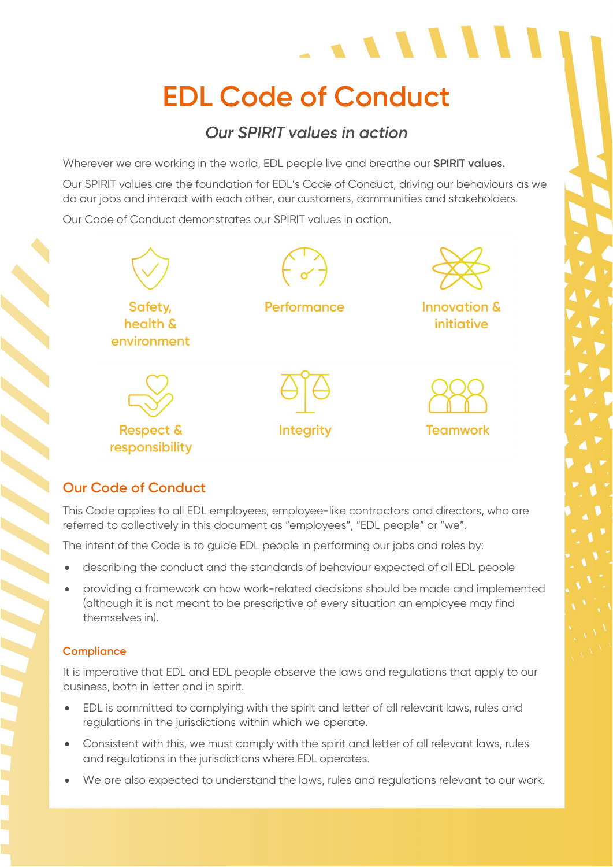# **EDL Code of Conduct**

 $\begin{array}{c} \begin{array}{c} \end{array} \end{array}$ 

## *Our SPIRIT values in action*

Wherever we are working in the world, EDL people live and breathe our **SPIRIT values.**

Our SPIRIT values are the foundation for EDL's Code of Conduct, driving our behaviours as we do our jobs and interact with each other, our customers, communities and stakeholders.

Our Code of Conduct demonstrates our SPIRIT values in action.



## **Our Code of Conduct**

This Code applies to all EDL employees, employee-like contractors and directors, who are referred to collectively in this document as "employees", "EDL people" or "we".

The intent of the Code is to guide EDL people in performing our jobs and roles by:

- describing the conduct and the standards of behaviour expected of all EDL people
- providing a framework on how work-related decisions should be made and implemented (although it is not meant to be prescriptive of every situation an employee may find themselves in).

### **Compliance**

It is imperative that EDL and EDL people observe the laws and regulations that apply to our business, both in letter and in spirit.

- EDL is committed to complying with the spirit and letter of all relevant laws, rules and regulations in the jurisdictions within which we operate.
- Consistent with this, we must comply with the spirit and letter of all relevant laws, rules and regulations in the jurisdictions where EDL operates.
- We are also expected to understand the laws, rules and regulations relevant to our work.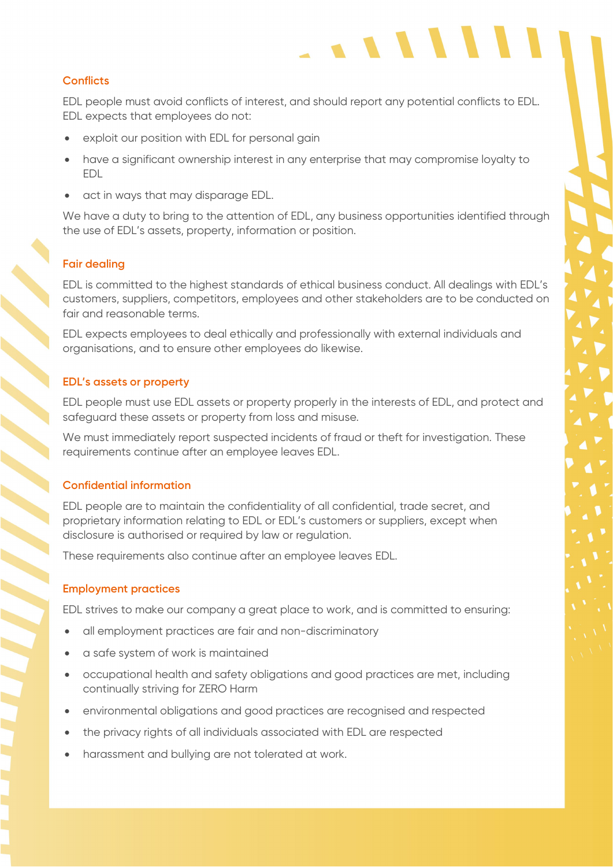#### **Conflicts**

EDL people must avoid conflicts of interest, and should report any potential conflicts to EDL. EDL expects that employees do not:

 $\cdot$   $\cdot$   $\cdot$   $\cdot$   $\cdot$   $\cdot$ 

- exploit our position with EDL for personal gain
- have a significant ownership interest in any enterprise that may compromise loyalty to EDL
- act in ways that may disparage EDL.

We have a duty to bring to the attention of EDL, any business opportunities identified through the use of EDL's assets, property, information or position.

#### **Fair dealing**

EDL is committed to the highest standards of ethical business conduct. All dealings with EDL's customers, suppliers, competitors, employees and other stakeholders are to be conducted on fair and reasonable terms.

EDL expects employees to deal ethically and professionally with external individuals and organisations, and to ensure other employees do likewise.

#### **EDL's assets or property**

EDL people must use EDL assets or property properly in the interests of EDL, and protect and safeguard these assets or property from loss and misuse.

We must immediately report suspected incidents of fraud or theft for investigation. These requirements continue after an employee leaves EDL.

#### **Confidential information**

EDL people are to maintain the confidentiality of all confidential, trade secret, and proprietary information relating to EDL or EDL's customers or suppliers, except when disclosure is authorised or required by law or regulation.

These requirements also continue after an employee leaves EDL.

#### **Employment practices**

EDL strives to make our company a great place to work, and is committed to ensuring:

- all employment practices are fair and non-discriminatory
- a safe system of work is maintained
- occupational health and safety obligations and good practices are met, including continually striving for ZERO Harm
- environmental obligations and good practices are recognised and respected
- the privacy rights of all individuals associated with EDL are respected
- harassment and bullying are not tolerated at work.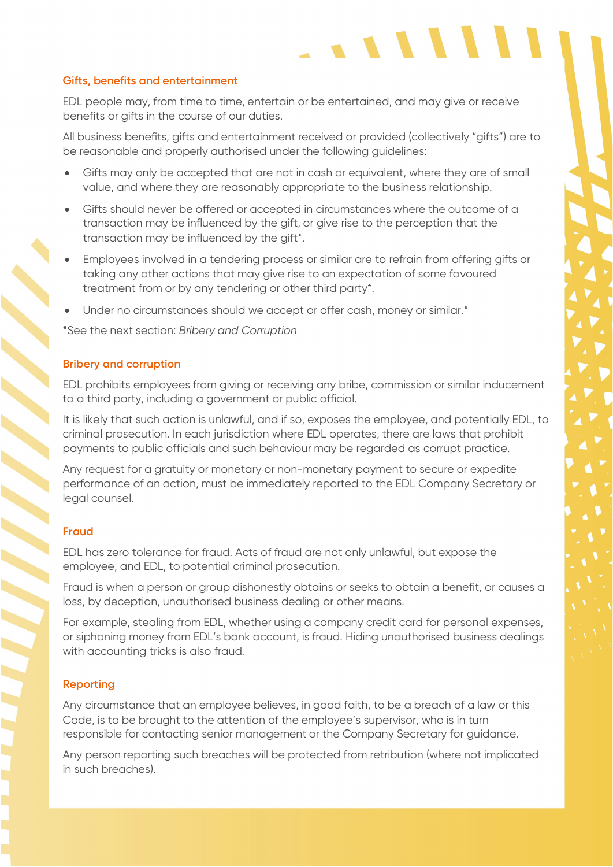#### **Gifts, benefits and entertainment**

EDL people may, from time to time, entertain or be entertained, and may give or receive benefits or gifts in the course of our duties.

All business benefits, gifts and entertainment received or provided (collectively "gifts") are to be reasonable and properly authorised under the following guidelines:

 $\cdot$   $\cdot$   $\cdot$   $\cdot$   $\cdot$ 

- Gifts may only be accepted that are not in cash or equivalent, where they are of small value, and where they are reasonably appropriate to the business relationship.
- Gifts should never be offered or accepted in circumstances where the outcome of a transaction may be influenced by the gift, or give rise to the perception that the transaction may be influenced by the gift\*.
- Employees involved in a tendering process or similar are to refrain from offering gifts or taking any other actions that may give rise to an expectation of some favoured treatment from or by any tendering or other third party\*.
- Under no circumstances should we accept or offer cash, money or similar.<sup>\*</sup>

\*See the next section: *Bribery and Corruption* 

#### **Bribery and corruption**

EDL prohibits employees from giving or receiving any bribe, commission or similar inducement to a third party, including a government or public official.

It is likely that such action is unlawful, and if so, exposes the employee, and potentially EDL, to criminal prosecution. In each jurisdiction where EDL operates, there are laws that prohibit payments to public officials and such behaviour may be regarded as corrupt practice.

Any request for a gratuity or monetary or non-monetary payment to secure or expedite performance of an action, must be immediately reported to the EDL Company Secretary or legal counsel.

#### **Fraud**

EDL has zero tolerance for fraud. Acts of fraud are not only unlawful, but expose the employee, and EDL, to potential criminal prosecution.

Fraud is when a person or group dishonestly obtains or seeks to obtain a benefit, or causes a loss, by deception, unauthorised business dealing or other means.

For example, stealing from EDL, whether using a company credit card for personal expenses, or siphoning money from EDL's bank account, is fraud. Hiding unauthorised business dealings with accounting tricks is also fraud.

#### **Reporting**

Any circumstance that an employee believes, in good faith, to be a breach of a law or this Code, is to be brought to the attention of the employee's supervisor, who is in turn responsible for contacting senior management or the Company Secretary for guidance.

Any person reporting such breaches will be protected from retribution (where not implicated in such breaches).